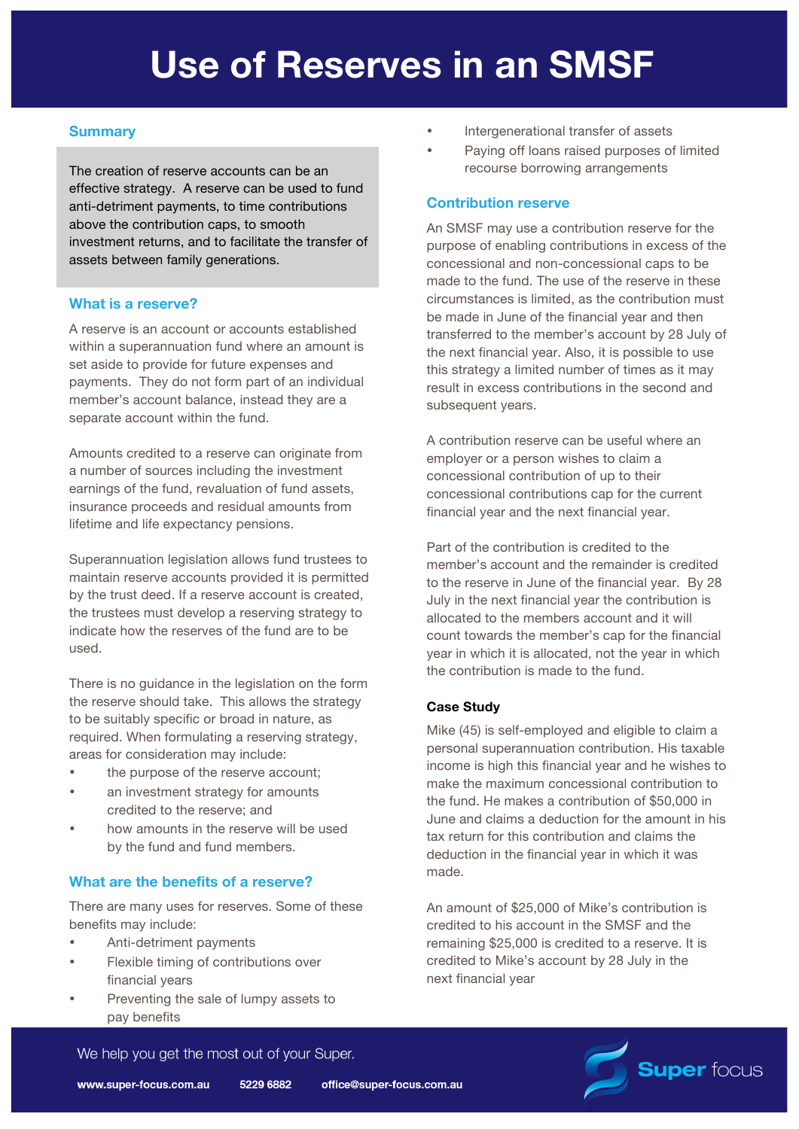# **Summary**

The creation of reserve accounts can be an effective strategy. A reserve can be used to fund anti-detriment payments, to time contributions above the contribution caps, to smooth investment returns, and to facilitate the transfer of assets between family generations.

## **What is a reserve?**

A reserve is an account or accounts established within a superannuation fund where an amount is set aside to provide for future expenses and payments. They do not form part of an individual member's account balance, instead they are a separate account within the fund.

Amounts credited to a reserve can originate from a number of sources including the investment earnings of the fund, revaluation of fund assets, insurance proceeds and residual amounts from lifetime and life expectancy pensions.

Superannuation legislation allows fund trustees to maintain reserve accounts provided it is permitted by the trust deed. If a reserve account is created, the trustees must develop a reserving strategy to indicate how the reserves of the fund are to be used.

There is no guidance in the legislation on the form the reserve should take. This allows the strategy to be suitably specific or broad in nature, as required. When formulating a reserving strategy, areas for consideration may include:

- the purpose of the reserve account;
- an investment strategy for amounts credited to the reserve; and
- how amounts in the reserve will be used by the fund and fund members.

## **What are the benefits of a reserve?**

There are many uses for reserves. Some of these benefits may include:

- Anti-detriment payments
- Flexible timing of contributions over financial years
- Preventing the sale of lumpy assets to pay benefits
- Intergenerational transfer of assets
- Paying off loans raised purposes of limited recourse borrowing arrangements

### **Contribution reserve**

An SMSF may use a contribution reserve for the purpose of enabling contributions in excess of the concessional and non-concessional caps to be made to the fund. The use of the reserve in these circumstances is limited, as the contribution must be made in June of the financial year and then transferred to the member's account by 28 July of the next financial year. Also, it is possible to use this strategy a limited number of times as it may result in excess contributions in the second and subsequent years.

A contribution reserve can be useful where an employer or a person wishes to claim a concessional contribution of up to their concessional contributions cap for the current financial year and the next financial year.

Part of the contribution is credited to the member's account and the remainder is credited to the reserve in June of the financial year. By 28 July in the next financial year the contribution is allocated to the members account and it will count towards the member's cap for the financial year in which it is allocated, not the year in which the contribution is made to the fund.

### **Case Study**

Mike (45) is self-employed and eligible to claim a personal superannuation contribution. His taxable income is high this financial year and he wishes to make the maximum concessional contribution to the fund. He makes a contribution of \$50,000 in June and claims a deduction for the amount in his tax return for this contribution and claims the deduction in the financial year in which it was made.

An amount of \$25,000 of Mike's contribution is credited to his account in the SMSF and the remaining \$25,000 is credited to a reserve. It is credited to Mike's account by 28 July in the next financial year



We help you get the most out of your Super.